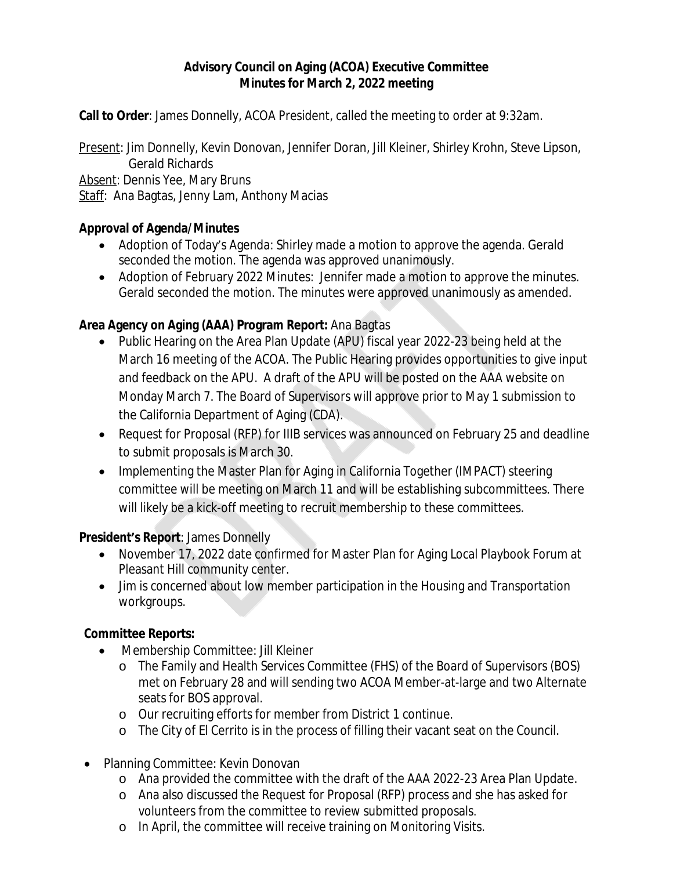## **Advisory Council on Aging (ACOA) Executive Committee Minutes for March 2, 2022 meeting**

**Call to Order**: James Donnelly, ACOA President, called the meeting to order at 9:32am.

Present: Jim Donnelly, Kevin Donovan, Jennifer Doran, Jill Kleiner, Shirley Krohn, Steve Lipson, Gerald Richards

Absent: Dennis Yee, Mary Bruns

Staff: Ana Bagtas, Jenny Lam, Anthony Macias

## **Approval of Agenda/Minutes**

- Adoption of Today's Agenda: Shirley made a motion to approve the agenda. Gerald seconded the motion. The agenda was approved unanimously.
- Adoption of February 2022 Minutes: Jennifer made a motion to approve the minutes. Gerald seconded the motion. The minutes were approved unanimously as amended.

# **Area Agency on Aging (AAA) Program Report:** Ana Bagtas

- Public Hearing on the Area Plan Update (APU) fiscal year 2022-23 being held at the March 16 meeting of the ACOA. The Public Hearing provides opportunities to give input and feedback on the APU. A draft of the APU will be posted on the AAA website on Monday March 7. The Board of Supervisors will approve prior to May 1 submission to the California Department of Aging (CDA).
- Request for Proposal (RFP) for IIIB services was announced on February 25 and deadline to submit proposals is March 30.
- Implementing the Master Plan for Aging in California Together (IMPACT) steering committee will be meeting on March 11 and will be establishing subcommittees. There will likely be a kick-off meeting to recruit membership to these committees.

### **President's Report**: James Donnelly

- November 17, 2022 date confirmed for Master Plan for Aging Local Playbook Forum at Pleasant Hill community center.
- Jim is concerned about low member participation in the Housing and Transportation workgroups.

# **Committee Reports:**

- Membership Committee: Jill Kleiner
	- o The Family and Health Services Committee (FHS) of the Board of Supervisors (BOS) met on February 28 and will sending two ACOA Member-at-large and two Alternate seats for BOS approval.
	- o Our recruiting efforts for member from District 1 continue.
	- o The City of El Cerrito is in the process of filling their vacant seat on the Council.
- Planning Committee: Kevin Donovan
	- o Ana provided the committee with the draft of the AAA 2022-23 Area Plan Update.
	- o Ana also discussed the Request for Proposal (RFP) process and she has asked for volunteers from the committee to review submitted proposals.
	- o In April, the committee will receive training on Monitoring Visits.